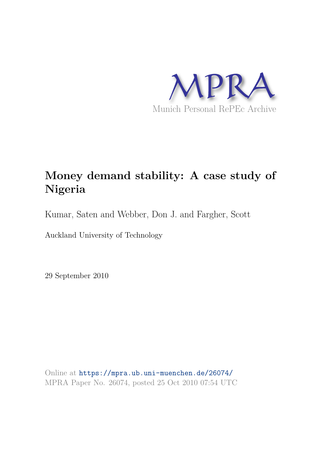

# **Money demand stability: A case study of Nigeria**

Kumar, Saten and Webber, Don J. and Fargher, Scott

Auckland University of Technology

29 September 2010

Online at https://mpra.ub.uni-muenchen.de/26074/ MPRA Paper No. 26074, posted 25 Oct 2010 07:54 UTC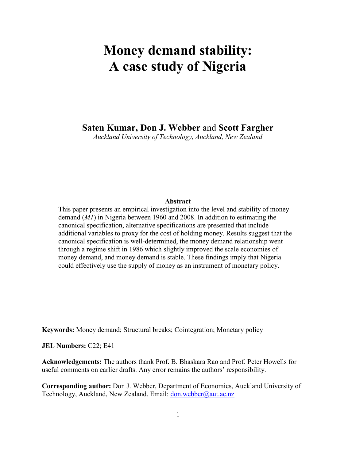# **Money demand stability: A** case study of Nigeria

Saten Kumar, Don J. Webber and Scott Fargher

*Auckland University of Technology, Auckland, New Zealand* 

### Abstract

This paper presents an empirical investigation into the level and stability of money demand (*M1*) in Nigeria between 1960 and 2008. In addition to estimating the canonical specification, alternative specifications are presented that include additional variables to proxy for the cost of holding money. Results suggest that the canonical specification is well-determined, the money demand relationship went through a regime shift in 1986 which slightly improved the scale economies of money demand, and money demand is stable. These findings imply that Nigeria could effectively use the supply of money as an instrument of monetary policy.

Keywords: Money demand; Structural breaks; Cointegration; Monetary policy

**JEL Numbers: C22; E41** 

Acknowledgements: The authors thank Prof. B. Bhaskara Rao and Prof. Peter Howells for useful comments on earlier drafts. Any error remains the authors' responsibility.

**Corresponding author:** Don J. Webber, Department of Economics, Auckland University of Technology, Auckland, New Zealand. Email: [don.webber@aut.ac.nz](mailto:don.webber@aut.ac.nz)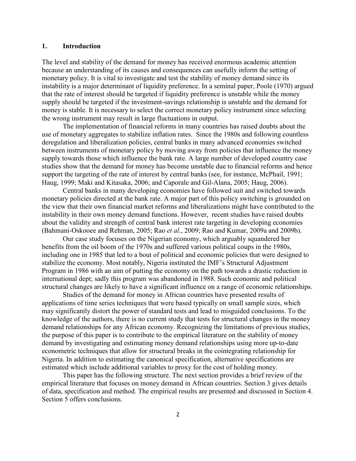### 1. Introduction

The level and stability of the demand for money has received enormous academic attention because an understanding of its causes and consequences can usefully inform the setting of monetary policy. It is vital to investigate and test the stability of money demand since its instability is a major determinant of liquidity preference. In a seminal paper, Poole (1970) argued that the rate of interest should be targeted if liquidity preference is unstable while the money supply should be targeted if the investment-savings relationship is unstable and the demand for money is stable. It is necessary to select the correct monetary policy instrument since selecting the wrong instrument may result in large fluctuations in output.

The implementation of financial reforms in many countries has raised doubts about the use of monetary aggregates to stabilize inflation rates. Since the 1980s and following countless deregulation and liberalization policies, central banks in many advanced economies switched between instruments of monetary policy by moving away from policies that influence the money supply towards those which influence the bank rate. A large number of developed country case studies show that the demand for money has become unstable due to financial reforms and hence support the targeting of the rate of interest by central banks (see, for instance, McPhail, 1991; Haug, 1999; Maki and Kitasaka, 2006; and Caporale and Gil-Alana, 2005; Haug, 2006).

Central banks in many developing economies have followed suit and switched towards monetary policies directed at the bank rate. A major part of this policy switching is grounded on the view that their own financial market reforms and liberalizations might have contributed to the instability in their own money demand functions. However, recent studies have raised doubts about the validity and strength of central bank interest rate targeting in developing economies (Bahmani-Oskooee and Rehman, 2005; Rao *et al*., 2009; Rao and Kumar, 2009a and 2009b).

Our case study focuses on the Nigerian economy, which arguably squandered her benefits from the oil boom of the 1970s and suffered various political coups in the 1980s, including one in 1985 that led to a bout of political and economic policies that were designed to stabilize the economy. Most notably, Nigeria instituted the IMF's Structural Adjustment Program in 1986 with an aim of putting the economy on the path towards a drastic reduction in international dept; sadly this program was abandoned in 1988. Such economic and political structural changes are likely to have a significant influence on a range of economic relationships.

Studies of the demand for money in African countries have presented results of applications of time series techniques that were based typically on small sample sizes, which may significantly distort the power of standard tests and lead to misguided conclusions. To the knowledge of the authors, there is no current study that tests for structural changes in the money demand relationships for any African economy. Recognizing the limitations of previous studies, the purpose of this paper is to contribute to the empirical literature on the stability of money demand by investigating and estimating money demand relationships using more up-to-date econometric techniques that allow for structural breaks in the cointegrating relationship for Nigeria. In addition to estimating the canonical specification, alternative specifications are estimated which include additional variables to proxy for the cost of holding money.

This paper has the following structure. The next section provides a brief review of the empirical literature that focuses on money demand in African countries. Section 3 gives details of data, specification and method. The empirical results are presented and discussed in Section 4. Section 5 offers conclusions.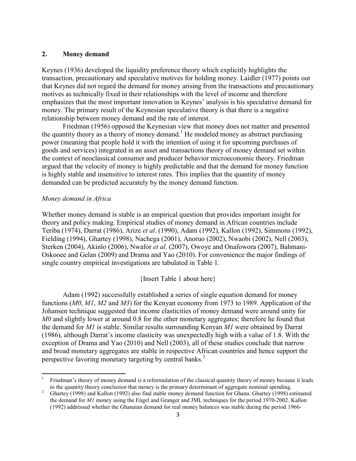### 2. Money demand

Keynes (1936) developed the liquidity preference theory which explicitly highlights the transaction, precautionary and speculative motives for holding money. Laidler (1977) points out that Keynes did not regard the demand for money arising from the transactions and precautionary motives as technically fixed in their relationships with the level of income and therefore emphasizes that the most important innovation in Keynes' analysis is his speculative demand for money. The primary result of the Keynesian speculative theory is that there is a negative relationship between money demand and the rate of interest.

Friedman (1956) opposed the Keynesian view that money does not matter and presented the quantity theory as a theory of money demand.<sup>1</sup> He modeled money as abstract purchasing power (meaning that people hold it with the intention of using it for upcoming purchases of goods and services) integrated in an asset and transactions theory of money demand set within the context of neoclassical consumer and producer behavior microeconomic theory. Friedman argued that the velocity of money is highly predictable and that the demand for money function is highly stable and insensitive to interest rates. This implies that the quantity of money demanded can be predicted accurately by the money demand function.

## *Money demand in Africa*

l

Whether money demand is stable is an empirical question that provides important insight for theory and policy making. Empirical studies of money demand in African countries include Teriba (1974), Darrat (1986), Arize *et al*. (1990), Adam (1992), Kallon (1992), Simmons (1992), Fielding (1994), Ghartey (1998), Nachega (2001), Anoruo (2002), Nwaobi (2002), Nell (2003), Sterken (2004), Akinlo (2006), Nwafor *et al*. (2007), Owoye and Onafowora (2007), Bahmani-Oskooee and Gelan (2009) and Drama and Yao (2010). For convenience the major findings of single country empirical investigations are tabulated in Table 1.

## {Insert Table 1 about here}

Adam (1992) successfully established a series of single equation demand for money functions (*M0*, *M1*, *M2* and *M3*) for the Kenyan economy from 1973 to 1989. Application of the Johansen technique suggested that income elasticities of money demand were around unity for *M0* and slightly lower at around 0.8 for the other monetary aggregates; therefore he found that the demand for *M1* is stable. Similar results surrounding Kenyan *M1* were obtained by Darrat (1986), although Darrat's income elasticity was unexpectedly high with a value of 1.8. With the exception of Drama and Yao (2010) and Nell (2003), all of these studies conclude that narrow and broad monetary aggregates are stable in respective African countries and hence support the perspective favoring monetary targeting by central banks.<sup>2</sup>

<sup>1</sup> Friedman's theory of money demand is a reformulation of the classical quantity theory of money because it leads to the quantity theory conclusion that money is the primary determinant of aggregate nominal spending.

<sup>2</sup> Ghartey (1998) and Kallon (1992) also find stable money demand function for Ghana. Ghartey (1998) estimated the demand for *M1* money using the Engel and Granger and JML techniques for the period 1970-2002. Kallon (1992) addressed whether the Ghanaian demand for real money balances was stable during the period 1966-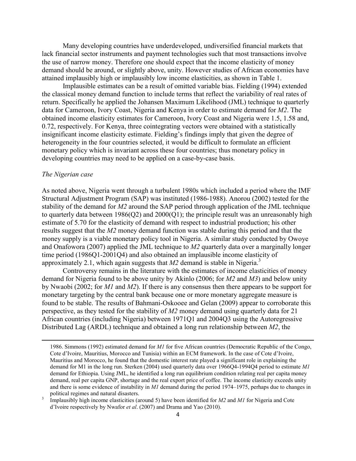Many developing countries have underdeveloped, undiversified financial markets that lack financial sector instruments and payment technologies such that most transactions involve the use of narrow money. Therefore one should expect that the income elasticity of money demand should be around, or slightly above, unity. However studies of African economies have attained implausibly high or implausibly low income elasticities, as shown in Table 1.

Implausible estimates can be a result of omitted variable bias. Fielding (1994) extended the classical money demand function to include terms that reflect the variability of real rates of return. Specifically he applied the Johansen Maximum Likelihood (JML) technique to quarterly data for Cameroon, Ivory Coast, Nigeria and Kenya in order to estimate demand for *M2*. The obtained income elasticity estimates for Cameroon, Ivory Coast and Nigeria were 1.5, 1.58 and, 0.72, respectively. For Kenya, three cointegrating vectors were obtained with a statistically insignificant income elasticity estimate. Fielding's findings imply that given the degree of heterogeneity in the four countries selected, it would be difficult to formulate an efficient monetary policy which is invariant across these four countries; thus monetary policy in developing countries may need to be applied on a case-by-case basis.

### *The Nigerian case*

l

As noted above, Nigeria went through a turbulent 1980s which included a period where the IMF Structural Adjustment Program (SAP) was instituted (1986-1988). Anorou (2002) tested for the stability of the demand for *M2* around the SAP period through application of the JML technique to quarterly data between  $1986(Q2)$  and  $2000(Q1)$ ; the principle result was an unreasonably high estimate of 5.70 for the elasticity of demand with respect to industrial production; his other results suggest that the *M2* money demand function was stable during this period and that the money supply is a viable monetary policy tool in Nigeria. A similar study conducted by Owoye and Onafowora (2007) applied the JML technique to *M2* quarterly data over a marginally longer time period (1986Q1-2001Q4) and also obtained an implausible income elasticity of approximately 2.1, which again suggests that  $M2$  demand is stable in Nigeria.<sup>3</sup>

Controversy remains in the literature with the estimates of income elasticities of money demand for Nigeria found to be above unity by Akinlo (2006; for *M2* and *M3*) and below unity by Nwaobi (2002; for *M1* and *M2*). If there is any consensus then there appears to be support for monetary targeting by the central bank because one or more monetary aggregate measure is found to be stable. The results of Bahmani-Oskooee and Gelan (2009) appear to corroborate this perspective, as they tested for the stability of *M2* money demand using quarterly data for 21 African countries (including Nigeria) between 1971Q1 and 2004Q3 using the Autoregressive Distributed Lag (ARDL) technique and obtained a long run relationship between *M2*, the

<sup>1986.</sup> Simmons (1992) estimated demand for *M1* for five African countries (Democratic Republic of the Congo, Cote d'Ivoire, Mauritius, Morocco and Tunisia) within an ECM framework. In the case of Cote d'Ivoire, Mauritius and Morocco, he found that the domestic interest rate played a significant role in explaining the demand for M1 in the long run. Sterken (2004) used quarterly data over 1966Q4-1994Q4 period to estimate *M1*  demand for Ethiopia. Using JML, he identified a long run equilibrium condition relating real per capita money demand, real per capita GNP, shortage and the real export price of coffee. The income elasticity exceeds unity and there is some evidence of instability in *M1* demand during the period 1974–1975, perhaps due to changes in political regimes and natural disasters.

<sup>3</sup> Implausibly high income elasticities (around 5) have been identified for *M2* and *M1* for Nigeria and Cote d'Ivoire respectively by Nwafor *et al*. (2007) and Drama and Yao (2010).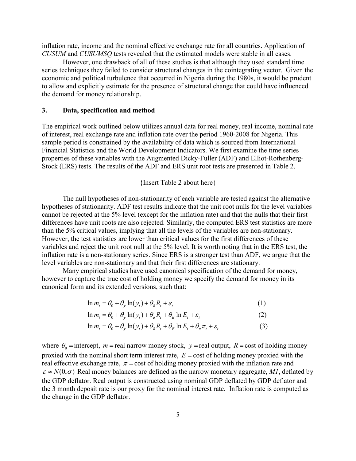inflation rate, income and the nominal effective exchange rate for all countries. Application of *CUSUM* and *CUSUMSQ* tests revealed that the estimated models were stable in all cases.

However, one drawback of all of these studies is that although they used standard time series techniques they failed to consider structural changes in the cointegrating vector. Given the economic and political turbulence that occurred in Nigeria during the 1980s, it would be prudent to allow and explicitly estimate for the presence of structural change that could have influenced the demand for money relationship.

### **3.** Data, specification and method

The empirical work outlined below utilizes annual data for real money, real income, nominal rate of interest, real exchange rate and inflation rate over the period 1960-2008 for Nigeria. This sample period is constrained by the availability of data which is sourced from International Financial Statistics and the World Development Indicators. We first examine the time series properties of these variables with the Augmented Dicky-Fuller (ADF) and Elliot-Rothenberg-Stock (ERS) tests. The results of the ADF and ERS unit root tests are presented in Table 2.

## {Insert Table 2 about here}

The null hypotheses of non-stationarity of each variable are tested against the alternative hypotheses of stationarity. ADF test results indicate that the unit root nulls for the level variables cannot be rejected at the 5% level (except for the inflation rate) and that the nulls that their first differences have unit roots are also rejected. Similarly, the computed ERS test statistics are more than the 5% critical values, implying that all the levels of the variables are non-stationary. However, the test statistics are lower than critical values for the first differences of these variables and reject the unit root null at the 5% level. It is worth noting that in the ERS test, the inflation rate is a non-stationary series. Since ERS is a stronger test than ADF, we argue that the level variables are non-stationary and that their first differences are stationary.

Many empirical studies have used canonical specification of the demand for money, however to capture the true cost of holding money we specify the demand for money in its canonical form and its extended versions, such that:

$$
\ln m_t = \theta_0 + \theta_y \ln(y_t) + \theta_R R_t + \varepsilon_t \tag{1}
$$

$$
\ln m_t = \theta_0 + \theta_y \ln(y_t) + \theta_R R_t + \theta_E \ln E_t + \varepsilon_t
$$
 (2)

$$
\ln m_t = \theta_0 + \theta_y \ln(y_t) + \theta_R R_t + \theta_E \ln E_t + \theta_\pi \pi_t + \varepsilon_t
$$
\n(3)

where  $\theta_0$  = intercept, *m* = real narrow money stock, *y* = real output, *R* = cost of holding money proxied with the nominal short term interest rate, *E* = cost of holding money proxied with the real effective exchange rate,  $\pi$  = cost of holding money proxied with the inflation rate and  $\varepsilon \approx N(0,\sigma)$  Real money balances are defined as the narrow monetary aggregate, MI, deflated by the GDP deflator. Real output is constructed using nominal GDP deflated by GDP deflator and the 3 month deposit rate is our proxy for the nominal interest rate. Inflation rate is computed as the change in the GDP deflator.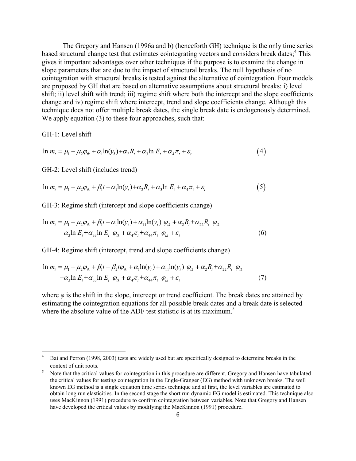The Gregory and Hansen (1996a and b) (henceforth GH) technique is the only time series based structural change test that estimates cointegrating vectors and considers break dates;<sup>4</sup> This gives it important advantages over other techniques if the purpose is to examine the change in slope parameters that are due to the impact of structural breaks. The null hypothesis of no cointegration with structural breaks is tested against the alternative of cointegration. Four models are proposed by GH that are based on alternative assumptions about structural breaks: i) level shift; ii) level shift with trend; iii) regime shift where both the intercept and the slope coefficients change and iv) regime shift where intercept, trend and slope coefficients change. Although this technique does not offer multiple break dates, the single break date is endogenously determined. We apply equation (3) to these four approaches, such that:

GH-1: Level shift

l

$$
\ln m_t = \mu_1 + \mu_2 \varphi_{tk} + \alpha_1 \ln(y_t) + \alpha_2 R_t + \alpha_3 \ln E_t + \alpha_4 \pi_t + \varepsilon_t \tag{4}
$$

GH-2: Level shift (includes trend)

$$
\ln m_t = \mu_1 + \mu_2 \varphi_{tk} + \beta_1 t + \alpha_1 \ln(y_t) + \alpha_2 R_t + \alpha_3 \ln E_t + \alpha_4 \pi_t + \varepsilon_t \tag{5}
$$

GH-3: Regime shift (intercept and slope coefficients change)

$$
\ln m_t = \mu_1 + \mu_2 \varphi_{ik} + \beta_1 t + \alpha_1 \ln(\mathbf{y}_t) + \alpha_{11} \ln(\mathbf{y}_t) \varphi_{ik} + \alpha_2 R_t + \alpha_{22} R_t \varphi_{ik}
$$
  
+  $\alpha_3 \ln E_t + \alpha_{33} \ln E_t \varphi_{ik} + \alpha_4 \pi_t + \alpha_{44} \pi_t \varphi_{ik} + \varepsilon_t$  (6)

GH-4: Regime shift (intercept, trend and slope coefficients change)

$$
\ln m_t = \mu_1 + \mu_2 \varphi_{tk} + \beta_1 t + \beta_2 t \varphi_{tk} + \alpha_1 \ln(y_t) + \alpha_{11} \ln(y_t) \varphi_{tk} + \alpha_2 R_t + \alpha_{22} R_t \varphi_{tk}
$$
  
+  $\alpha_3 \ln E_t + \alpha_{33} \ln E_t \varphi_{tk} + \alpha_4 \pi_t + \alpha_{44} \pi_t \varphi_{tk} + \varepsilon_t$  (7)

where *φ* is the shift in the slope, intercept or trend coefficient. The break dates are attained by estimating the cointegration equations for all possible break dates and a break date is selected where the absolute value of the ADF test statistic is at its maximum.<sup>5</sup>

<sup>4</sup> Bai and Perron (1998, 2003) tests are widely used but are specifically designed to determine breaks in the context of unit roots.

<sup>5</sup> Note that the critical values for cointegration in this procedure are different. Gregory and Hansen have tabulated the critical values for testing cointegration in the Engle-Granger (EG) method with unknown breaks. The well known EG method is a single equation time series technique and at first, the level variables are estimated to obtain long run elasticities. In the second stage the short run dynamic EG model is estimated. This technique also uses MacKinnon (1991) procedure to confirm cointegration between variables. Note that Gregory and Hansen have developed the critical values by modifying the MacKinnon (1991) procedure.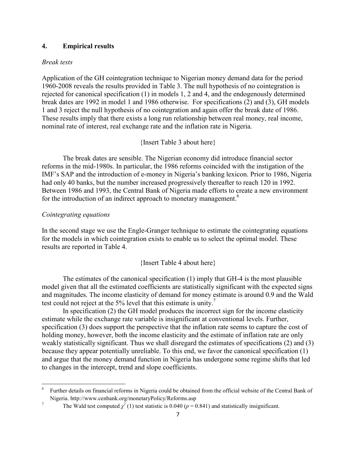### **4.** Empirical results

### *Break tests*

Application of the GH cointegration technique to Nigerian money demand data for the period 1960-2008 reveals the results provided in Table 3. The null hypothesis of no cointegration is rejected for canonical specification (1) in models 1, 2 and 4, and the endogenously determined break dates are 1992 in model 1 and 1986 otherwise. For specifications (2) and (3), GH models 1 and 3 reject the null hypothesis of no cointegration and again offer the break date of 1986. These results imply that there exists a long run relationship between real money, real income, nominal rate of interest, real exchange rate and the inflation rate in Nigeria.

{Insert Table 3 about here}

The break dates are sensible. The Nigerian economy did introduce financial sector reforms in the mid-1980s. In particular, the 1986 reforms coincided with the instigation of the IMF's SAP and the introduction of e-money in Nigeria's banking lexicon. Prior to 1986, Nigeria had only 40 banks, but the number increased progressively thereafter to reach 120 in 1992. Between 1986 and 1993, the Central Bank of Nigeria made efforts to create a new environment for the introduction of an indirect approach to monetary management.<sup>6</sup>

## *Cointegrating equations*

 $\overline{a}$ 

In the second stage we use the Engle-Granger technique to estimate the cointegrating equations for the models in which cointegration exists to enable us to select the optimal model. These results are reported in Table 4.

## {Insert Table 4 about here}

The estimates of the canonical specification (1) imply that GH-4 is the most plausible model given that all the estimated coefficients are statistically significant with the expected signs and magnitudes. The income elasticity of demand for money estimate is around 0.9 and the Wald test could not reject at the 5% level that this estimate is unity.<sup>7</sup>

In specification (2) the GH model produces the incorrect sign for the income elasticity estimate while the exchange rate variable is insignificant at conventional levels. Further, specification (3) does support the perspective that the inflation rate seems to capture the cost of holding money, however, both the income elasticity and the estimate of inflation rate are only weakly statistically significant. Thus we shall disregard the estimates of specifications (2) and (3) because they appear potentially unreliable. To this end, we favor the canonical specification (1) and argue that the money demand function in Nigeria has undergone some regime shifts that led to changes in the intercept, trend and slope coefficients.

<sup>6</sup> Further details on financial reforms in Nigeria could be obtained from the official website of the Central Bank of Nigeria. http://www.cenbank.org/monetaryPolicy/Reforms.asp

<sup>7</sup> The Wald test computed  $\chi^2$  (1) test statistic is 0.040 ( $p = 0.841$ ) and statistically insignificant.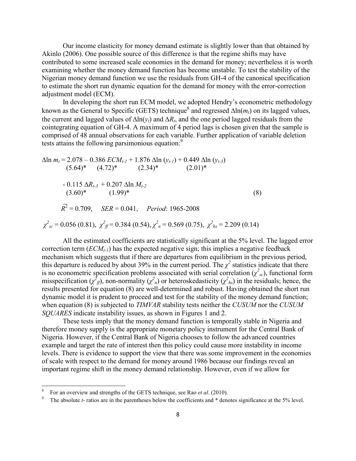Our income elasticity for money demand estimate is slightly lower than that obtained by Akinlo (2006). One possible source of this difference is that the regime shifts may have contributed to some increased scale economies in the demand for money; nevertheless it is worth examining whether the money demand function has become unstable. To test the stability of the Nigerian money demand function we use the residuals from GH-4 of the canonical specification to estimate the short run dynamic equation for the demand for money with the error-correction adjustment model (ECM).

In developing the short run ECM model, we adopted Hendry's econometric methodology known as the General to Specific (GETS) technique<sup>8</sup> and regressed  $\Delta \ln(m_t)$  on its lagged values, the current and lagged values of ∆ln(*yt*) and ∆*R<sup>t</sup>* , and the one period lagged residuals from the cointegrating equation of GH-4. A maximum of 4 period lags is chosen given that the sample is comprised of 48 annual observations for each variable. Further application of variable deletion tests attains the following parsimonious equation.<sup>9</sup>

$$
\Delta \ln m_t = 2.078 - 0.386 \, ECM_{t-1} + 1.876 \, \Delta \ln (y_{t-1}) + 0.449 \, \Delta \ln (y_{t-3})
$$
\n
$$
(5.64)^* \quad (4.72)^* \quad (2.34)^* \quad (2.01)^*
$$
\n
$$
- 0.115 \, \Delta R_{t-3} + 0.207 \, \Delta \ln M_{t-2}
$$
\n
$$
(3.60)^* \quad (1.99)^* \quad (8)
$$
\n
$$
\overrightarrow{R}^2 = 0.709, \quad SER = 0.041, \quad Period: 1965-2008
$$
\n
$$
\chi^2_{sc} = 0.056 (0.81), \quad \chi^2_{ff} = 0.384 (0.54), \quad \chi^2_{h} = 0.569 (0.75), \quad \chi^2_{hs} = 2.209 (0.14)
$$

All the estimated coefficients are statistically significant at the 5% level. The lagged error correction term (*ECMt-1*) has the expected negative sign; this implies a negative feedback mechanism which suggests that if there are departures from equilibrium in the previous period, this departure is reduced by about 39% in the current period. The  $\chi^2$  statistics indicate that there is no econometric specification problems associated with serial correlation  $(\chi^2_{sc})$ , functional form misspecification ( $\chi^2_{ff}$ ), non-normality ( $\chi^2_{h}$ ) or heteroskedasticity ( $\chi^2_{h}$ ) in the residuals; hence, the results presented for equation (8) are well-determined and robust. Having obtained the short run dynamic model it is prudent to proceed and test for the stability of the money demand function; when equation (8) is subjected to *TIMVAR* stability tests neither the *CUSUM* nor the *CUSUM SQUARES* indicate instability issues, as shown in Figures 1 and 2.

These tests imply that the money demand function is temporally stable in Nigeria and therefore money supply is the appropriate monetary policy instrument for the Central Bank of Nigeria. However, if the Central Bank of Nigeria chooses to follow the advanced countries example and target the rate of interest then this policy could cause more instability in income levels. There is evidence to support the view that there was some improvement in the economies of scale with respect to the demand for money around 1986 because our findings reveal an important regime shift in the money demand relationship. However, even if we allow for

l

<sup>8</sup> For an overview and strengths of the GETS technique, see Rao *et al*. (2010).

<sup>9</sup> The absolute *t*- ratios are in the parentheses below the coefficients and \* denotes significance at the 5% level.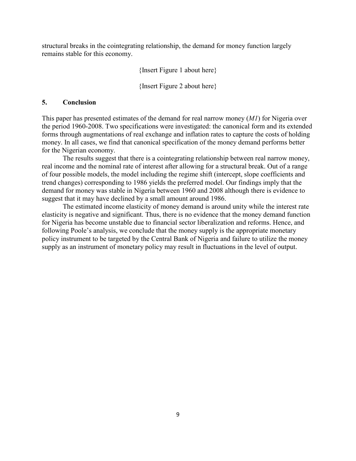structural breaks in the cointegrating relationship, the demand for money function largely remains stable for this economy.

{Insert Figure 1 about here}

{Insert Figure 2 about here}

## **5.** Conclusion

This paper has presented estimates of the demand for real narrow money (*M1*) for Nigeria over the period 1960-2008. Two specifications were investigated: the canonical form and its extended forms through augmentations of real exchange and inflation rates to capture the costs of holding money. In all cases, we find that canonical specification of the money demand performs better for the Nigerian economy.

The results suggest that there is a cointegrating relationship between real narrow money, real income and the nominal rate of interest after allowing for a structural break. Out of a range of four possible models, the model including the regime shift (intercept, slope coefficients and trend changes) corresponding to 1986 yields the preferred model. Our findings imply that the demand for money was stable in Nigeria between 1960 and 2008 although there is evidence to suggest that it may have declined by a small amount around 1986.

 The estimated income elasticity of money demand is around unity while the interest rate elasticity is negative and significant. Thus, there is no evidence that the money demand function for Nigeria has become unstable due to financial sector liberalization and reforms. Hence, and following Poole's analysis, we conclude that the money supply is the appropriate monetary policy instrument to be targeted by the Central Bank of Nigeria and failure to utilize the money supply as an instrument of monetary policy may result in fluctuations in the level of output.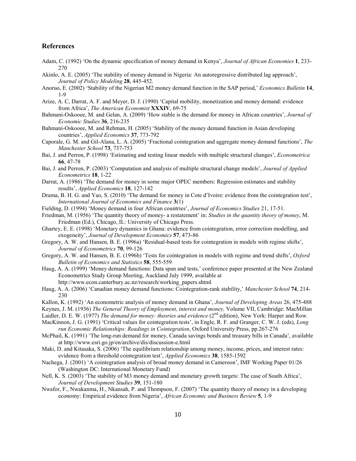### **References**

- Adam, C. (1992) 'On the dynamic specification of money demand in Kenya', *Journal of African Economies* **&**, 233- 270
- Akinlo, A. E. (2005) 'The stability of money demand in Nigeria: An autoregressive distributed lag approach', *Journal of Policy Modeling* 28, 445-452.
- Anoruo, E. (2002) 'Stability of the Nigerian M2 money demand function in the SAP period,' *Economics Bulletin* **&\***, 1-9
- Arize, A. C, Darrat, A. F. and Meyer, D. J. (1990) 'Capital mobility, monetization and money demand: evidence from Africa', *The American Economist* XXXIV, 69-75
- Bahmani-Oskooee, M. and Gelan, A. (2009) 'How stable is the demand for money in African countries', *Journal of Economic Studies* 36, 216-235
- Bahmani-Oskooee, M. and Rehman, H. (2005) 'Stability of the money demand function in Asian developing countries', *Applied Economics* 37, 773-792
- Caporale, G. M. and Gil-Alana, L. A. (2005) 'Fractional cointegration and aggregate money demand functions', *The Manchester School* **1)**, 737-753
- Bai, J. and Perron, P. (1998) 'Estimating and testing linear models with multiple structural changes', *Econometrica* **00**, 47-78
- Bai, J. and Perron, P. (2003) 'Computation and analysis of multiple structural change models', *Journal of Applied Econometrics* **&-**, 1-22
- Darrat, A. (1986) 'The demand for money in some major OPEC members: Regression estimates and stability results', *Applied Economics* 18, 127-142
- Drama, B. H. G. and Yao, S. (2010) 'The demand for money in Cote d'Ivoire: evidence from the cointegration test', *International Journal of Economics and Finance* **)**(1)
- Fielding, D. (1994) 'Money demand in four African countries', *Journal of Economics Studies* 21, 17-51.
- Friedman, M. (1956) 'The quantity theory of money- a restatement' in: *Studies in the quantity theory of money*, M. Friedman (Ed.), Chicago, IL: University of Chicago Press.
- Ghartey, E. E. (1998) 'Monetary dynamics in Ghana: evidence from cointegration, error correction modelling, and exogeneity', *Journal of Development Economics* 57, 473-86
- Gregory, A. W. and Hansen, B. E. (1996a) 'Residual-based tests for cointegration in models with regime shifts', *Journal of Econometrics* **70**, 99-126
- Gregory, A. W. and Hansen, B. E. (1996b) 'Tests for cointegration in models with regime and trend shifts', *Oxford*  **Bulletin of Economics and Statistics <b>58**, 555-559
- Haug, A. A. (1999) 'Money demand functions: Data span and tests,' conference paper presented at the New Zealand Econometrics Study Group Meeting, Auckland July 1999, available at http://www.econ.canterbury.ac.nz/research/working\_papers.shtml
- Haug, A. A. (2006) 'Canadian money demand functions: Cointegration-rank stability,' *Manchester School* **1\***, 214- 230
- Kallon, K. (1992) 'An econometric analysis of money demand in Ghana', *Journal of Developing Areas* 26, 475-488
- Keynes, J. M. (1936) *The General Theory of Employment, interest and money,* Volume VII, Cambridge: MacMillan
- Laidler, D. E. W. (1977) *The demand for money: theories and evidence* (2<sup>nd</sup> edition), New York: Harper and Row.
- MacKinnon, J. G. (1991) 'Critical values for cointegration tests', in Engle, R. F. and Granger, C. W. J. (eds), *Long run Economic Relationships: Readings in Cointegration*, Oxford University Press, pp.267-276
- McPhail, K. (1991) 'The long-run demand for money, Canada savings bonds and treasury bills in Canada', available at<http://www.esri.go.jp/en/archive/dis/discussion-e.html>
- Maki, D. and Kitasaka, S. (2006) 'The equilibrium relationship among money, income, prices, and interest rates: evidence from a threshold cointegration test', *[Applied Economics](http://econpapers.repec.org/article/tafapplec/)* 38, 1585-1592
- Nachega, J. (2001) 'A cointegration analysis of broad money demand in Cameroon', IMF Working Paper 01/26 (Washington DC: International Monetary Fund)
- Nell, K. S. (2003) 'The stability of M3 money demand and monetary growth targets: The case of South Africa', *Journal of Development Studies* **)3**, 151-180
- Nwafor, F., Nwakanma, H., Nkansah, P. and Thompson, F. (2007) 'The quantity theory of money in a developing economy: Empirical evidence from Nigeria', *African Economic and Business Review* 5, 1-9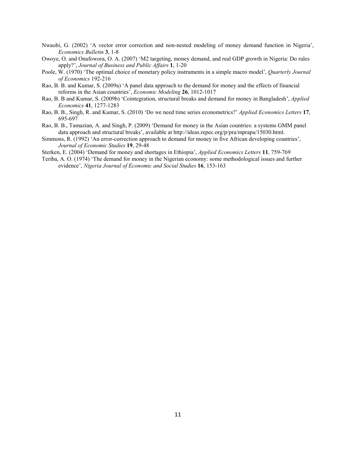- Nwaobi, G. (2002) '[A vector error correction and non-nested modeling of money demand function in Nigeria'](http://ideas.repec.org/a/ebl/ecbull/v3y2002i4p1-8.html), *[Economics Bulletin](http://ideas.repec.org/s/ebl/ecbull.html)* **)**, 1-8
- Owoye, O. and Onafowora, O. A. (2007) 'M2 targeting, money demand, and real GDP growth in Nigeria: Do rules apply?', *Journal of Business and Public Affairs* **&**, 1-20
- Poole, W. (1970) 'The optimal choice of monetary policy instruments in a simple macro model', *Quarterly Journal of Economics* 192-216
- Rao, B. B. and Kumar, S. (2009a) 'A panel data approach to the demand for money and the effects of financial reforms in the Asian countries', *Economic Modeling* 26, 1012-1017
- Rao, B. B and Kumar, S. (2009b) 'Cointegration, structural breaks and demand for money in Bangladesh', *Applied Economics* **\*&**, 1277-1283
- Rao, B. B., Singh, R. and Kumar, S. (2010) 'Do we need time series econometrics?' *Applied Economics Letters* **&1**, 695-697
- Rao, B. B., Tamazian, A. and Singh, P. (2009) 'Demand for money in the Asian countries: a systems GMM panel data approach and structural breaks', available at<http://ideas.repec.org/p/pra/mprapa/15030.html>.
- Simmons, R. (1992) 'An error-correction approach to demand for money in five African developing countries', *Journal of Economic Studies* 19, 29-48

Sterken, E. (2004) 'Demand for money and shortages in Ethiopia', *Applied Economics Letters* 11, 759-769

Teriba, A. O. (1974) 'The demand for money in the Nigerian economy: some methodological issues and further evidence', *Nigeria Journal of Economic and Social Studies* 16, 153-163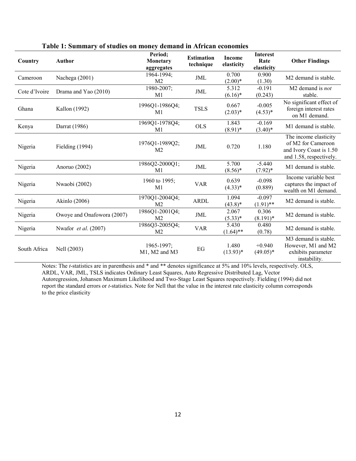| Country       | <b>Author</b>                 | Period;<br>Monetary<br>aggregates  | <b>Estimation</b><br>technique | <b>Income</b><br>elasticity | <b>Interest</b><br>Rate<br>elasticity | <b>Other Findings</b>                                                                             |
|---------------|-------------------------------|------------------------------------|--------------------------------|-----------------------------|---------------------------------------|---------------------------------------------------------------------------------------------------|
| Cameroon      | Nachega (2001)                | 1964-1994;<br>M <sub>2</sub>       | JML                            | 0.700<br>$(2.00)*$          | 0.900<br>(1.30)                       | M <sub>2</sub> demand is stable.                                                                  |
| Cote d'Ivoire | Drama and Yao (2010)          | 1980-2007;<br>M1                   | JML                            | 5.312<br>$(6.16)^*$         | $-0.191$<br>(0.243)                   | M <sub>2</sub> demand is <i>not</i><br>stable.                                                    |
| Ghana         | Kallon (1992)                 | 1996Q1-1986Q4;<br>M <sub>1</sub>   | <b>TSLS</b>                    | 0.667<br>$(2.03)*$          | $-0.005$<br>$(4.53)*$                 | No significant effect of<br>foreign interest rates<br>on M1 demand.                               |
| Kenya         | Darrat (1986)                 | 1969Q1-1978Q4;<br>M1               | <b>OLS</b>                     | 1.843<br>$(8.91)^*$         | $-0.169$<br>$(3.40)^*$                | M1 demand is stable.                                                                              |
| Nigeria       | Fielding (1994)               | 1976Q1-1989Q2;<br>M <sub>2</sub>   | JML                            | 0.720                       | 1.180                                 | The income elasticity<br>of M2 for Cameroon<br>and Ivory Coast is 1.50<br>and 1.58, respectively. |
| Nigeria       | Anoruo (2002)                 | 1986Q2-2000Q1;<br>M1               | <b>JML</b>                     | 5.700<br>$(8.56)^*$         | $-5.440$<br>$(7.92)^*$                | M1 demand is stable.                                                                              |
| Nigeria       | Nwaobi (2002)                 | 1960 to 1995;<br>M1                | <b>VAR</b>                     | 0.639<br>$(4.33)*$          | $-0.098$<br>(0.889)                   | Income variable best<br>captures the impact of<br>wealth on M1 demand.                            |
| Nigeria       | Akinlo (2006)                 | 1970Q1-2004Q4;<br>M <sub>2</sub>   | <b>ARDL</b>                    | 1.094<br>$(43.8)$ *         | $-0.097$<br>$(1.91)$ **               | M <sub>2</sub> demand is stable.                                                                  |
| Nigeria       | Owoye and Onafowora (2007)    | 1986Q1-2001Q4;<br>M <sub>2</sub>   | JML                            | 2.067<br>$(5.33)^*$         | 0.306<br>$(8.191)^*$                  | M2 demand is stable.                                                                              |
| Nigeria       | Nwafor <i>et al.</i> $(2007)$ | 1986Q3-2005Q4;<br>M <sub>2</sub>   | <b>VAR</b>                     | 5.430<br>$(1.64)$ **        | 0.480<br>(0.78)                       | M <sub>2</sub> demand is stable.                                                                  |
| South Africa  | Nell (2003)                   | 1965-1997;<br>$M1$ , $M2$ and $M3$ | EG                             | 1.480<br>$(13.93)*$         | $+0.940$<br>$(49.05)*$                | M <sub>3</sub> demand is stable.<br>However, M1 and M2<br>exhibits parameter<br>instability.      |

Table 1: Summary of studies on money demand in African economies

Notes: The *t*-statistics are in parenthesis and \* and \*\* denotes significance at 5% and 10% levels, respectively. OLS, ARDL, VAR, JML, TSLS indicates Ordinary Least Squares, Auto Regressive Distributed Lag, Vector Autoregression, Johansen Maximum Likelihood and Two-Stage Least Squares respectively. Fielding (1994) did not report the standard errors or *t*-statistics. Note for Nell that the value in the interest rate elasticity column corresponds to the price elasticity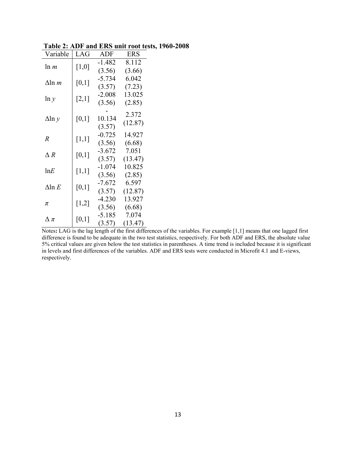| Variable        | LAG     | <b>ADF</b>  | <b>ERS</b> |
|-----------------|---------|-------------|------------|
| ln m            | $[1,0]$ | $-1.482$    | 8.112      |
|                 |         | (3.56)      | (3.66)     |
| $\Delta$ ln m   | [0,1]   | $-5.734$    | 6.042      |
|                 |         | (3.57)      | (7.23)     |
|                 |         | $-2.008$    | 13.025     |
| $\ln y$         | [2,1]   | (3.56)      | (2.85)     |
|                 | [0,1]   |             | 2.372      |
| $\Delta$ ln y   |         | 10.134      | (12.87)    |
|                 |         | (3.57)      |            |
| $\overline{R}$  | $[1,1]$ | $-0.725$    | 14.927     |
|                 |         | (3.56)      | (6.68)     |
| $\Delta R$      | [0,1]   | $-3.672$    | 7.051      |
|                 |         | (3.57)      | (13.47)    |
| lnE             | $[1,1]$ | $-1.074$    | 10.825     |
|                 |         | (3.56)      | (2.85)     |
| $\Delta$ ln $E$ | [0,1]   | $-7.672$    | 6.597      |
|                 |         | (3.57)      | (12.87)    |
|                 | $[1,2]$ | $-4.230$    | 13.927     |
| π               |         | (3.56)      | (6.68)     |
|                 | [0,1]   | $-5.185$    | 7.074      |
| $\Delta$ $\pi$  |         | (3.57)<br>Ŧ | (13.47)    |

**1960-2008** Table 2: ADF and ERS unit root tests, 1960-2008

Notes: LAG is the lag length of the first differences of the variables. For example [1,1] means that one lagged first difference is found to be adequate in the two test statistics, respectively. For both ADF and ERS, the absolute value 5% critical values are given below the test statistics in parentheses. A time trend is included because it is significant in levels and first differences of the variables. ADF and ERS tests were conducted in Microfit 4.1 and E-views, respectively.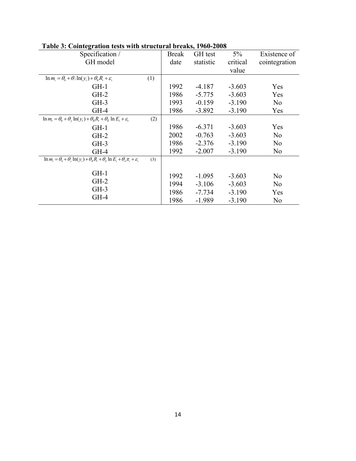| Specification /                                                                                                                                |     | <b>Break</b> | GH test   | $5\%$    | Existence of   |
|------------------------------------------------------------------------------------------------------------------------------------------------|-----|--------------|-----------|----------|----------------|
| GH model                                                                                                                                       |     | date         | statistic | critical | cointegration  |
|                                                                                                                                                |     |              |           | value    |                |
| $\ln m_t = \theta_0 + \theta_y \ln(y_t) + \theta_R R_t + \varepsilon_t$                                                                        | (1) |              |           |          |                |
| $GH-1$                                                                                                                                         |     | 1992         | $-4.187$  | $-3.603$ | Yes            |
| $GH-2$                                                                                                                                         |     | 1986         | $-5.775$  | $-3.603$ | Yes            |
| $GH-3$                                                                                                                                         |     | 1993         | $-0.159$  | $-3.190$ | N <sub>0</sub> |
| $GH-4$                                                                                                                                         |     | 1986         | $-3.892$  | $-3.190$ | Yes            |
| $\ln m_t = \theta_0 + \theta_y \ln(y_t) + \theta_R R_t + \theta_E \ln E_t + \varepsilon_t$                                                     | (2) |              |           |          |                |
| $GH-1$                                                                                                                                         |     | 1986         | $-6.371$  | $-3.603$ | Yes            |
| $GH-2$                                                                                                                                         |     | 2002         | $-0.763$  | $-3.603$ | N <sub>0</sub> |
| $GH-3$                                                                                                                                         |     | 1986         | $-2.376$  | $-3.190$ | N <sub>0</sub> |
| $GH-4$                                                                                                                                         |     | 1992         | $-2.007$  | $-3.190$ | N <sub>0</sub> |
| $\overline{\ln m_{i} = \theta_{0} + \theta_{v}} \ln(y_{i}) + \theta_{R} R_{i} + \theta_{E} \ln E_{i} + \theta_{\pi} \pi_{i} + \varepsilon_{i}$ | (3) |              |           |          |                |
|                                                                                                                                                |     |              |           |          |                |
| $GH-1$                                                                                                                                         |     | 1992         | $-1.095$  | $-3.603$ | N <sub>0</sub> |
| $GH-2$                                                                                                                                         |     | 1994         | $-3.106$  | $-3.603$ | N <sub>0</sub> |
| $GH-3$                                                                                                                                         |     | 1986         | $-7.734$  | $-3.190$ | Yes            |
| $GH-4$                                                                                                                                         |     | 1986         | $-1.989$  | $-3.190$ | N <sub>0</sub> |

## **Table 3: Cointegration tests with structural breaks, 1960-2008**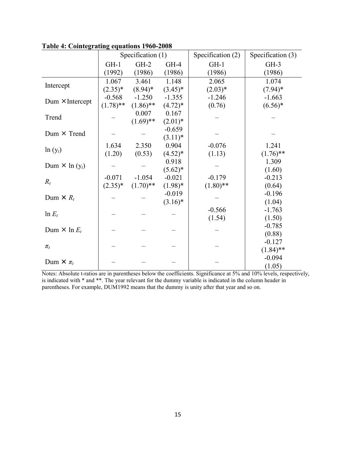|                                   | Specification (1) |             | Specification (2) | Specification (3) |             |
|-----------------------------------|-------------------|-------------|-------------------|-------------------|-------------|
|                                   | $GH-1$            | $GH-2$      | $GH-4$            | $GH-1$            | $GH-3$      |
|                                   | (1992)            | (1986)      | (1986)            | (1986)            | (1986)      |
|                                   | 1.067             | 3.461       | 1.148             | 2.065             | 1.074       |
| Intercept                         | $(2.35)^*$        | $(8.94)$ *  | $(3.45)^*$        | $(2.03)*$         | $(7.94)$ *  |
| Dum $\times$ Intercept            | $-0.568$          | $-1.250$    | $-1.355$          | $-1.246$          | $-1.663$    |
|                                   | $(1.78)$ **       | $(1.86)$ ** | $(4.72)*$         | (0.76)            | $(6.56)*$   |
| Trend                             |                   | 0.007       | 0.167             |                   |             |
|                                   |                   | $(1.69)$ ** | $(2.01)^*$        |                   |             |
| Dum $\times$ Trend                |                   |             | $-0.659$          |                   |             |
|                                   |                   |             | $(3.11)^*$        |                   |             |
| $ln(y_t)$                         | 1.634             | 2.350       | 0.904             | $-0.076$          | 1.241       |
|                                   | (1.20)            | (0.53)      | $(4.52)^*$        | (1.13)            | $(1.76)$ ** |
| Dum $\times$ ln (y <sub>t</sub> ) |                   |             | 0.918             |                   | 1.309       |
|                                   |                   |             | $(5.62)^*$        |                   | (1.60)      |
| $R_t$                             | $-0.071$          | $-1.054$    | $-0.021$          | $-0.179$          | $-0.213$    |
|                                   | $(2.35)^*$        | $(1.70)$ ** | $(1.98)*$         | $(1.80)$ **       | (0.64)      |
| Dum $\times R_t$                  |                   |             | $-0.019$          |                   | $-0.196$    |
|                                   |                   |             | $(3.16)^*$        |                   | (1.04)      |
| $\ln E_t$                         |                   |             |                   | $-0.566$          | $-1.763$    |
|                                   |                   |             |                   | (1.54)            | (1.50)      |
| Dum $\times$ ln $E_t$             |                   |             |                   |                   | $-0.785$    |
|                                   |                   |             |                   |                   | (0.88)      |
|                                   |                   |             |                   |                   | $-0.127$    |
| $\pi_t$                           |                   |             |                   |                   | $(1.84)$ ** |
| Dum $\times \pi_t$                |                   |             |                   |                   | $-0.094$    |
|                                   |                   |             |                   |                   | (1.05)      |

**Table 4: Cointegrating equations 1960-2008** 

Notes: Absolute t-ratios are in parentheses below the coefficients. Significance at 5% and 10% levels, respectively, is indicated with \* and \*\*. The year relevant for the dummy variable is indicated in the column header in parentheses. For example, DUM1992 means that the dummy is unity after that year and so on.